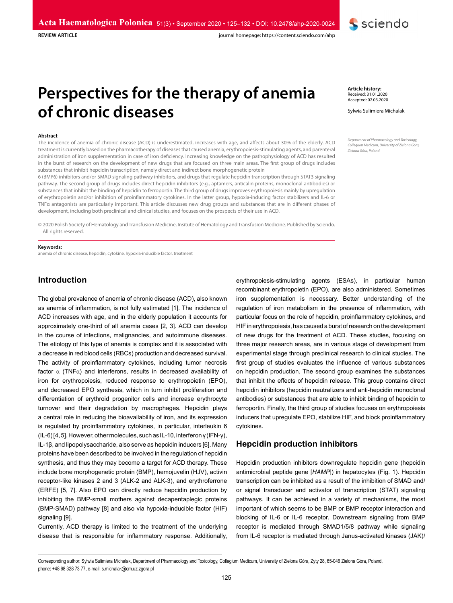

**REVIEW ARTICLE** 

journal homepage: https://content.sciendo.com/ahp

# **Perspectives for the therapy of anemia of chronic diseases**

#### **Abstract**

The incidence of anemia of chronic disease (ACD) is underestimated, increases with age, and affects about 30% of the elderly. ACD treatment is currently based on the pharmacotherapy of diseases that caused anemia, erythropoiesis-stimulating agents, and parenteral administration of iron supplementation in case of iron deficiency. Increasing knowledge on the pathophysiology of ACD has resulted in the burst of research on the development of new drugs that are focused on three main areas. The first group of drugs includes substances that inhibit hepcidin transcription, namely direct and indirect bone morphogenetic protein

6 (BMP6) inhibitors and/or SMAD signaling pathway inhibitors, and drugs that regulate hepcidin transcription through STAT3 signaling pathway. The second group of drugs includes direct hepcidin inhibitors (e.g., aptamers, anticalin proteins, monoclonal antibodies) or substances that inhibit the binding of hepcidin to ferroportin. The third group of drugs improves erythropoiesis mainly by upregulation of erythropoietin and/or inhibition of proinflammatory cytokines. In the latter group, hypoxia-inducing factor stabilizers and IL-6 or TNFα antagonists are particularly important. This article discusses new drug groups and substances that are in different phases of development, including both preclinical and clinical studies, and focuses on the prospects of their use in ACD.

© 2020 Polish Society of Hematology and Transfusion Medicine, Insitute of Hematology and Transfusion Medicine. Published by Sciendo. All rights reserved.

#### **Keywords:**

anemia of chronic disease, hepcidin, cytokine, hypoxia-inducible factor, treatment

# **Introduction**

The global prevalence of anemia of chronic disease (ACD), also known as anemia of inflammation, is not fully estimated [1]. The incidence of ACD increases with age, and in the elderly population it accounts for approximately one-third of all anemia cases [2, 3]. ACD can develop in the course of infections, malignancies, and autoimmune diseases. The etiology of this type of anemia is complex and it is associated with a decrease in red blood cells (RBCs) production and decreased survival. The activity of proinflammatory cytokines, including tumor necrosis factor α (TNFα) and interferons, results in decreased availability of iron for erythropoiesis, reduced response to erythropoietin (EPO), and decreased EPO synthesis, which in turn inhibit proliferation and differentiation of erythroid progenitor cells and increase erythrocyte turnover and their degradation by macrophages. Hepcidin plays a central role in reducing the bioavailability of iron, and its expression is regulated by proinflammatory cytokines, in particular, interleukin 6 (IL-6) [4, 5]. However, other molecules, such as IL-10, interferon γ (IFN-γ), IL-1β, and lipopolysaccharide, also serve as hepcidin inducers [6]. Many proteins have been described to be involved in the regulation of hepcidin synthesis, and thus they may become a target for ACD therapy. These include bone morphogenetic protein (BMP), hemojuvelin (HJV), activin receptor-like kinases 2 and 3 (ALK-2 and ALK-3), and erythroferrone (ERFE) [5, 7]. Also EPO can directly reduce hepcidin production by inhibiting the BMP-small mothers against decapentaplegic proteins (BMP-SMAD) pathway [8] and also via hypoxia-inducible factor (HIF) signaling [9].

Currently, ACD therapy is limited to the treatment of the underlying disease that is responsible for inflammatory response. Additionally,

erythropoiesis-stimulating agents (ESAs), in particular human recombinant erythropoietin (EPO), are also administered. Sometimes iron supplementation is necessary. Better understanding of the regulation of iron metabolism in the presence of inflammation, with particular focus on the role of hepcidin, proinflammatory cytokines, and HIF in erythropoiesis, has caused a burst of research on the development of new drugs for the treatment of ACD. These studies, focusing on three major research areas, are in various stage of development from experimental stage through preclinical research to clinical studies. The first group of studies evaluates the influence of various substances on hepcidin production. The second group examines the substances that inhibit the effects of hepcidin release. This group contains direct hepcidin inhibitors (hepcidin neutralizers and anti-hepcidin monoclonal antibodies) or substances that are able to inhibit binding of hepcidin to ferroportin. Finally, the third group of studies focuses on erythropoiesis inducers that upregulate EPO, stabilize HIF, and block proinflammatory cytokines.

## **Hepcidin production inhibitors**

Hepcidin production inhibitors downregulate hepcidin gene (hepcidin antimicrobial peptide gene [*HAMP*]) in hepatocytes (Fig. 1). Hepcidin transcription can be inhibited as a result of the inhibition of SMAD and/ or signal transducer and activator of transcription (STAT) signaling pathways. It can be achieved in a variety of mechanisms, the most important of which seems to be BMP or BMP receptor interaction and blocking of IL-6 or IL-6 receptor. Downstream signaling from BMP receptor is mediated through SMAD1/5/8 pathway while signaling from IL-6 receptor is mediated through Janus-activated kinases (JAK)/

**Article history:** Received: 31.01.2020 Accepted: 02.03.2020

Sylwia Sulimiera Michalak

*Department of Pharmacology and Toxicology, Collegium Medicum, University of Zielona Góra, Zielona Góra, Poland*

Corresponding author: Sylwia Sulimiera Michalak, Department of Pharmacology and Toxicology, Collegium Medicum, University of Zielona Góra, Zyty 28, 65-046 Zielona Góra, Poland, phone: +48 68 328 73 77, e-mail: s.michalak@cm.uz.zgora.pl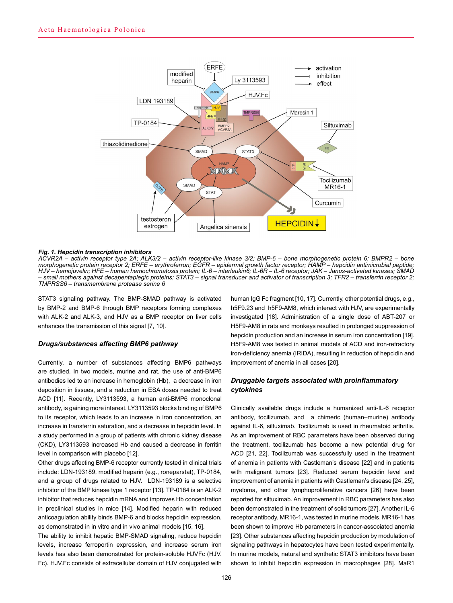

#### *Fig. 1. Hepcidin transcription inhibitors*

*ACVR2A – activin receptor type 2A; ALK3/2 – activin receptor-like kinase 3/2; BMP-6 – bone morphogenetic protein 6; BMPR2 – bone morphogenetic protein receptor 2; ERFE – erythroferron; EGFR – epidermal growth factor receptor; HAMP – hepcidin antimicrobial peptide; HJV – hemojuvelin; HFE – human hemochromatosis protein; IL-6 – interleukin6; IL-6R – IL-6 receptor; JAK – Janus-activated kinases; SMAD – small mothers against decapentaplegic proteins; STAT3 – signal transducer and activator of transcription 3; TFR2 – transferrin receptor 2; TMPRSS6 – transmembrane protease serine 6*

STAT3 signaling pathway. The BMP-SMAD pathway is activated by BMP-2 and BMP-6 through BMP receptors forming complexes with ALK-2 and ALK-3, and HJV as a BMP receptor on liver cells enhances the transmission of this signal [7, 10].

#### *Drugs/substances affecting BMP6 pathway*

Currently, a number of substances affecting BMP6 pathways are studied. In two models, murine and rat, the use of anti-BMP6 antibodies led to an increase in hemoglobin (Hb), a decrease in iron deposition in tissues, and a reduction in ESA doses needed to treat ACD [11]. Recently, LY3113593, a human anti-BMP6 monoclonal antibody, is gaining more interest. LY3113593 blocks binding of BMP6 to its receptor, which leads to an increase in iron concentration, an increase in transferrin saturation, and a decrease in hepcidin level. In a study performed in a group of patients with chronic kidney disease (CKD), LY3113593 increased Hb and caused a decrease in ferritin level in comparison with placebo [12].

Other drugs affecting BMP-6 receptor currently tested in clinical trials include: LDN-193189, modified heparin (e.g., roneparstat), TP-0184, and a group of drugs related to HJV. LDN-193189 is a selective inhibitor of the BMP kinase type 1 receptor [13]. TP-0184 is an ALK-2 inhibitor that reduces hepcidin mRNA and improves Hb concentration in preclinical studies in mice [14]. Modified heparin with reduced anticoagulation ability binds BMP-6 and blocks hepcidin expression, as demonstrated in in vitro and in vivo animal models [15, 16].

The ability to inhibit hepatic BMP-SMAD signaling, reduce hepcidin levels, increase ferroportin expression, and increase serum iron levels has also been demonstrated for protein-soluble HJVFc (HJV. Fc). HJV.Fc consists of extracellular domain of HJV conjugated with

human IgG Fc fragment [10, 17]. Currently, other potential drugs, e.g., h5F9.23 and h5F9-AM8, which interact with HJV, are experimentally investigated [18]. Administration of a single dose of ABT-207 or H5F9-AM8 in rats and monkeys resulted in prolonged suppression of hepcidin production and an increase in serum iron concentration [19]. H5F9-AM8 was tested in animal models of ACD and iron-refractory iron-deficiency anemia (IRIDA), resulting in reduction of hepcidin and improvement of anemia in all cases [20].

## *Druggable targets associated with proinflammatory cytokines*

Clinically available drugs include a humanized anti-IL-6 receptor antibody, tocilizumab, and a chimeric (human–murine) antibody against IL-6, siltuximab. Tocilizumab is used in rheumatoid arthritis. As an improvement of RBC parameters have been observed during the treatment, tocilizumab has become a new potential drug for ACD [21, 22]. Tocilizumab was successfully used in the treatment of anemia in patients with Castleman's disease [22] and in patients with malignant tumors [23]. Reduced serum hepcidin level and improvement of anemia in patients with Castleman's disease [24, 25], myeloma, and other lymphoproliferative cancers [26] have been reported for siltuximab. An improvement in RBC parameters has also been demonstrated in the treatment of solid tumors [27]. Another IL-6 receptor antibody, MR16-1, was tested in murine models. MR16-1 has been shown to improve Hb parameters in cancer-associated anemia [23]. Other substances affecting hepcidin production by modulation of signaling pathways in hepatocytes have been tested experimentally. In murine models, natural and synthetic STAT3 inhibitors have been shown to inhibit hepcidin expression in macrophages [28]. MaR1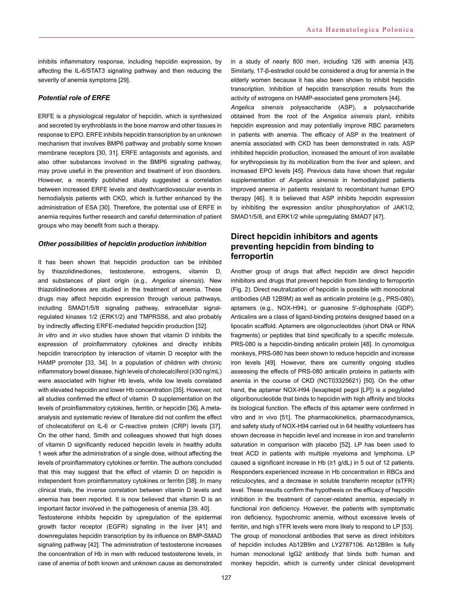inhibits inflammatory response, including hepcidin expression, by affecting the IL-6/STAT3 signaling pathway and then reducing the severity of anemia symptoms [29].

## *Potential role of ERFE*

ERFE is a physiological regulator of hepcidin, which is synthesized and secreted by erythroblasts in the bone marrow and other tissues in response to EPO. ERFE inhibits hepcidin transcription by an unknown mechanism that involves BMP6 pathway and probably some known membrane receptors [30, 31]. ERFE antagonists and agonists, and also other substances involved in the BMP6 signaling pathway, may prove useful in the prevention and treatment of iron disorders. However, a recently published study suggested a correlation between increased ERFE levels and death/cardiovascular events in hemodialysis patients with CKD, which is further enhanced by the administration of ESA [30]. Therefore, the potential use of ERFE in anemia requires further research and careful determination of patient groups who may benefit from such a therapy.

#### *Other possibilities of hepcidin production inhibition*

It has been shown that hepcidin production can be inhibited by thiazolidinediones, testosterone, estrogens, vitamin D, and substances of plant origin (e.g., *Angelica sinensis*). New thiazolidinediones are studied in the treatment of anemia. These drugs may affect hepcidin expression through various pathways, including SMAD1/5/8 signaling pathway, extracellular signalregulated kinases 1/2 (ERK1/2) and TMPRSS6, and also probably by indirectly affecting ERFE-mediated hepcidin production [32].

*In vitro* and *in vivo* studies have shown that vitamin D inhibits the expression of proinflammatory cytokines and directly inhibits hepcidin transcription by interaction of vitamin D receptor with the HAMP promoter [33, 34]. In a population of children with chronic inflammatory bowel disease, high levels of cholecalciferol (≥30 ng/mL) were associated with higher Hb levels, while low levels correlated with elevated hepcidin and lower Hb concentration [35]. However, not all studies confirmed the effect of vitamin D supplementation on the levels of proinflammatory cytokines, ferritin, or hepcidin [36]. A metaanalysis and systematic review of literature did not confirm the effect of cholecalciferol on IL-6 or C-reactive protein (CRP) levels [37]. On the other hand, Smith and colleagues showed that high doses of vitamin D significantly reduced hepcidin levels in healthy adults 1 week after the administration of a single dose, without affecting the levels of proinflammatory cytokines or ferritin. The authors concluded that this may suggest that the effect of vitamin D on hepcidin is independent from proinflammatory cytokines or ferritin [38]. In many clinical trials, the inverse correlation between vitamin D levels and anemia has been reported. It is now believed that vitamin D is an important factor involved in the pathogenesis of anemia [39, 40].

Testosterone inhibits hepcidin by upregulation of the epidermal growth factor receptor (EGFR) signaling in the liver [41] and downregulates hepcidin transcription by its influence on BMP-SMAD signaling pathway [42]. The administration of testosterone increases the concentration of Hb in men with reduced testosterone levels, in case of anemia of both known and unknown cause as demonstrated

in a study of nearly 800 men, including 126 with anemia [43]. Similarly, 17-β-estradiol could be considered a drug for anemia in the elderly women because it has also been shown to inhibit hepcidin transcription. Inhibition of hepcidin transcription results from the activity of estrogens on HAMP-associated gene promoters [44].

*Angelica sinensis* polysaccharide (ASP), a polysaccharide obtained from the root of the *Angelica sinensis* plant, inhibits hepcidin expression and may potentially improve RBC parameters in patients with anemia. The efficacy of ASP in the treatment of anemia associated with CKD has been demonstrated in rats. ASP inhibited hepcidin production, increased the amount of iron available for erythropoiesis by its mobilization from the liver and spleen, and increased EPO levels [45]. Previous data have shown that regular supplementation of *Angelica sinensis* in hemodialyzed patients improved anemia in patients resistant to recombinant human EPO therapy [46]. It is believed that ASP inhibits hepcidin expression by inhibiting the expression and/or phosphorylation of JAK1/2, SMAD1/5/8, and ERK1/2 while upregulating SMAD7 [47].

# **Direct hepcidin inhibitors and agents preventing hepcidin from binding to ferroportin**

Another group of drugs that affect hepcidin are direct hepcidin inhibitors and drugs that prevent hepcidin from binding to ferroportin (Fig. 2). Direct neutralization of hepcidin is possible with monoclonal antibodies (AB 12B9M) as well as anticalin proteins (e.g., PRS-080), aptamers (e.g., NOX-H94), or guanosine 5'-diphosphate (GDP). Anticalins are a class of ligand-binding proteins designed based on a lipocalin scaffold. Aptamers are oligonucleotides (short DNA or RNA fragments) or peptides that bind specifically to a specific molecule. PRS-080 is a hepcidin-binding anticalin protein [48]. In cynomolgus monkeys, PRS-080 has been shown to reduce hepcidin and increase iron levels [49]. However, there are currently ongoing studies assessing the effects of PRS-080 anticalin proteins in patients with anemia in the course of CKD (NCT03325621) [50]. On the other hand, the aptamer NOX-H94 (lexaptepid pegol [LP]) is a pegylated oligoribonucleotide that binds to hepcidin with high affinity and blocks its biological function. The effects of this aptamer were confirmed in vitro and in vivo [51]. The pharmacokinetics, pharmacodynamics, and safety study of NOX-H94 carried out in 64 healthy volunteers has shown decrease in hepcidin level and increase in iron and transferrin saturation in comparison with placebo [52]. LP has been used to treat ACD in patients with multiple myeloma and lymphoma. LP caused a significant increase in Hb (≥1 g/dL) in 5 out of 12 patients. Responders experienced increase in Hb concentration in RBCs and reticulocytes, and a decrease in soluble transferrin receptor (sTFR) level. These results confirm the hypothesis on the efficacy of hepcidin inhibition in the treatment of cancer-related anemia, especially in functional iron deficiency. However, the patients with symptomatic iron deficiency, hypochromic anemia, without excessive levels of ferritin, and high sTFR levels were more likely to respond to LP [53]. The group of monoclonal antibodies that serve as direct inhibitors of hepcidin includes Ab12B9m and LY2787106. Ab12B9m is fully human monoclonal IgG2 antibody that binds both human and monkey hepcidin, which is currently under clinical development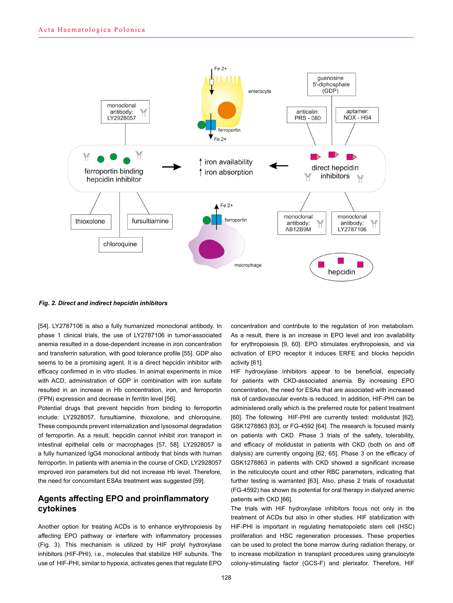

*Fig. 2. Direct and indirect hepcidin inhibitors*

[54]. LY2787106 is also a fully humanized monoclonal antibody. In phase 1 clinical trials, the use of LY2787106 in tumor-associated anemia resulted in a dose-dependent increase in iron concentration and transferrin saturation, with good tolerance profile [55]. GDP also seems to be a promising agent. It is a direct hepcidin inhibitor with efficacy confirmed in in vitro studies. In animal experiments in mice with ACD, administration of GDP in combination with iron sulfate resulted in an increase in Hb concentration, iron, and ferroportin (FPN) expression and decrease in ferritin level [56].

Potential drugs that prevent hepcidin from binding to ferroportin include: LY2928057, fursultiamine, thioxolone, and chloroquine. These compounds prevent internalization and lysosomal degradation of ferroportin. As a result, hepcidin cannot inhibit iron transport in intestinal epithelial cells or macrophages [57, 58]. LY2928057 is a fully humanized IgG4 monoclonal antibody that binds with human ferroportin. In patients with anemia in the course of CKD, LY2928057 improved iron parameters but did not increase Hb level. Therefore, the need for concomitant ESAs treatment was suggested [59].

## **Agents affecting EPO and proinflammatory cytokines**

Another option for treating ACDs is to enhance erythropoiesis by affecting EPO pathway or interfere with inflammatory processes (Fig. 3). This mechanism is utilized by HIF prolyl hydroxylase inhibitors (HIF-PHI), i.e., molecules that stabilize HIF subunits. The use of HIF-PHI, similar to hypoxia, activates genes that regulate EPO concentration and contribute to the regulation of iron metabolism. As a result, there is an increase in EPO level and iron availability for erythropoiesis [9, 60]. EPO stimulates erythropoiesis, and via activation of EPO receptor it induces ERFE and blocks hepcidin activity [61].

HIF hydroxylase inhibitors appear to be beneficial, especially for patients with CKD-associated anemia. By increasing EPO concentration, the need for ESAs that are associated with increased risk of cardiovascular events is reduced. In addition, HIF-PHI can be administered orally which is the preferred route for patient treatment [60]. The following HIF-PHI are currently tested: molidustat [62], GSK1278863 [63], or FG-4592 [64]. The research is focused mainly on patients with CKD. Phase 3 trials of the safety, tolerability, and efficacy of molidustat in patients with CKD (both on and off dialysis) are currently ongoing [62, 65]. Phase 3 on the efficacy of GSK1278863 in patients with CKD showed a significant increase in the reticulocyte count and other RBC parameters, indicating that further testing is warranted [63]. Also, phase 2 trials of roxadustat (FG-4592) has shown its potential for oral therapy in dialyzed anemic patients with CKD [66].

The trials with HIF hydroxylase inhibitors focus not only in the treatment of ACDs but also in other studies. HIF stabilization with HIF-PHI is important in regulating hematopoietic stem cell (HSC) proliferation and HSC regeneration processes. These properties can be used to protect the bone marrow during radiation therapy, or to increase mobilization in transplant procedures using granulocyte colony-stimulating factor (GCS-F) and plerixafor. Therefore, HIF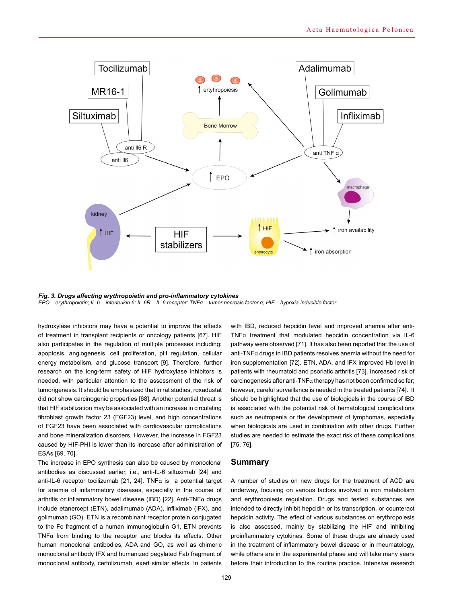

*Fig. 3. Drugs affecting erythropoietin and pro-inflammatory cytokines EPO – erythropoietin; IL-6 – interleukin 6; IL-6R – IL-6 receptor; TNFα – tumor necrosis factor α; HIF – hypoxia-inducible factor*

hydroxylase inhibitors may have a potential to improve the effects of treatment in transplant recipients or oncology patients [67]. HIF also participates in the regulation of multiple processes including: apoptosis, angiogenesis, cell proliferation, pH regulation, cellular energy metabolism, and glucose transport [9]. Therefore, further research on the long-term safety of HIF hydroxylase inhibitors is needed, with particular attention to the assessment of the risk of tumorigenesis. It should be emphasized that in rat studies, roxadustat did not show carcinogenic properties [68]. Another potential threat is that HIF stabilization may be associated with an increase in circulating fibroblast growth factor 23 (FGF23) level, and high concentrations of FGF23 have been associated with cardiovascular complications and bone mineralization disorders. However, the increase in FGF23 caused by HIF-PHI is lower than its increase after administration of ESAs [69, 70].

The increase in EPO synthesis can also be caused by monoclonal antibodies as discussed earlier, i.e., anti-IL-6 siltuximab [24] and anti-IL-6 receptor tocilizumab [21, 24]. TNFα is a potential target for anemia of inflammatory diseases, especially in the course of arthritis or inflammatory bowel disease (IBD) [22]. Anti-TNFα drugs include etanercept (ETN), adalimumab (ADA), infliximab (IFX), and golimumab (GO). ETN is a recombinant receptor protein conjugated to the Fc fragment of a human immunoglobulin G1. ETN prevents TNFα from binding to the receptor and blocks its effects. Other human monoclonal antibodies, ADA and GO, as well as chimeric monoclonal antibody IFX and humanized pegylated Fab fragment of monoclonal antibody, certolizumab, exert similar effects. In patients

with IBD, reduced hepcidin level and improved anemia after anti-TNFα treatment that modulated hepcidin concentration via IL-6 pathway were observed [71]. It has also been reported that the use of anti-TNFα drugs in IBD patients resolves anemia without the need for iron supplementation [72]. ETN, ADA, and IFX improved Hb level in patients with rheumatoid and psoriatic arthritis [73]. Increased risk of carcinogenesis after anti-TNFα therapy has not been confirmed so far; however, careful surveillance is needed in the treated patients [74]. It should be highlighted that the use of biologicals in the course of IBD is associated with the potential risk of hematological complications such as neutropenia or the development of lymphomas, especially when biologicals are used in combination with other drugs. Further studies are needed to estimate the exact risk of these complications [75, 76].

## **Summary**

A number of studies on new drugs for the treatment of ACD are underway, focusing on various factors involved in iron metabolism and erythropoiesis regulation. Drugs and tested substances are intended to directly inhibit hepcidin or its transcription, or counteract hepcidin activity. The effect of various substances on erythropoiesis is also assessed, mainly by stabilizing the HIF and inhibiting proinflammatory cytokines. Some of these drugs are already used in the treatment of inflammatory bowel disease or in rheumatology, while others are in the experimental phase and will take many years before their introduction to the routine practice. Intensive research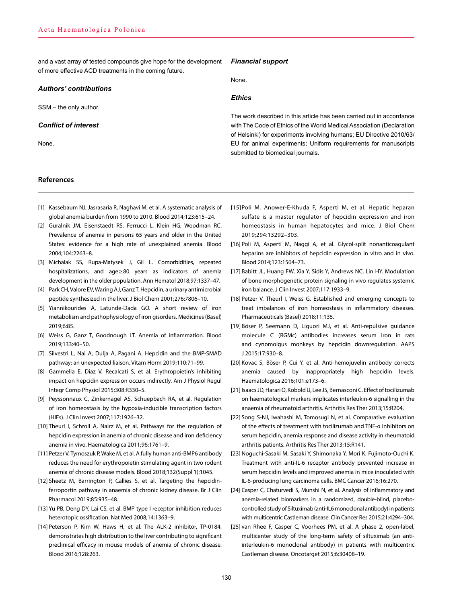and a vast array of tested compounds give hope for the development of more effective ACD treatments in the coming future.

### *Authors' contributions*

SSM – the only author.

### *Conflict of interest*

None.

## **References**

*Financial support*

None.

## *Ethics*

The work described in this article has been carried out in accordance with The Code of Ethics of the World Medical Association (Declaration of Helsinki) for experiments involving humans; EU Directive 2010/63/ EU for animal experiments; Uniform requirements for manuscripts submitted to biomedical journals.

- [1] Kassebaum NJ, Jasrasaria R, Naghavi M, et al. A systematic analysis of global anemia burden from 1990 to 2010. Blood 2014;123:615–24.
- [2] Guralnik JM, Eisenstaedt RS, Ferrucci L, Klein HG, Woodman RC. Prevalence of anemia in persons 65 years and older in the United States: evidence for a high rate of unexplained anemia. Blood 2004;104:2263–8.
- [3] Michalak SS, Rupa-Matysek J, Gil L. Comorbidities, repeated hospitalizations, and age≥80 years as indicators of anemia development in the older population. Ann Hematol 2018;97:1337–47.
- [4] Park CH, Valore EV, Waring AJ, Ganz T. Hepcidin, a urinary antimicrobial peptide synthesized in the liver. J Biol Chem 2001;276:7806–10.
- [5] Yiannikourides A, Latunde-Dada GO. A short review of iron metabolism and pathophysiology of iron gisorders. Medicines (Basel) 2019;6:85.
- [6] Weiss G, Ganz T, Goodnough LT. Anemia of inflammation. Blood 2019;133:40–50.
- [7] Silvestri L, Nai A, Dulja A, Pagani A. Hepcidin and the BMP-SMAD pathway: an unexpected liaison. Vitam Horm 2019;110:71–99.
- [8] Gammella E, Diaz V, Recalcati S, et al. Erythropoietin's inhibiting impact on hepcidin expression occurs indirectly. Am J Physiol Regul Integr Comp Physiol 2015;308:R330–5.
- [9] Peyssonnaux C, Zinkernagel AS, Schuepbach RA, et al. Regulation of iron homeostasis by the hypoxia-inducible transcription factors (HIFs). J Clin Invest 2007;117:1926–32.
- [10] Theurl I, Schroll A, Nairz M, et al. Pathways for the regulation of hepcidin expression in anemia of chronic disease and iron deficiency anemia in vivo. Haematologica 2011;96:1761–9.
- [11] Petzer V, Tymoszuk P, Wake M, et al. A fully human anti-BMP6 antibody reduces the need for erythropoietin stimulating agent in two rodent anemia of chronic disease models. Blood 2018;132(Suppl 1):1045.
- [12] Sheetz M, Barrington P, Callies S, et al. Targeting the hepcidinferroportin pathway in anaemia of chronic kidney disease. Br J Clin Pharmacol 2019;85:935–48.
- [13] Yu PB, Deng DY, Lai CS, et al. BMP type I receptor inhibition reduces heterotopic ossification. Nat Med 2008;14:1363–9.
- [14] Peterson P, Kim W, Haws H, et al. The ALK-2 inhibitor, TP-0184, demonstrates high distribution to the liver contributing to significant preclinical efficacy in mouse models of anemia of chronic disease. Blood 2016;128:263.
- [15]Poli M, Anower-E-Khuda F, Asperti M, et al. Hepatic heparan sulfate is a master regulator of hepcidin expression and iron homeostasis in human hepatocytes and mice. J Biol Chem 2019;294:13292–303.
- [16] Poli M, Asperti M, Naggi A, et al. Glycol-split nonanticoagulant heparins are inhibitors of hepcidin expression in vitro and in vivo. Blood 2014;123:1564–73.
- [17] Babitt JL, Huang FW, Xia Y, Sidis Y, Andrews NC, Lin HY. Modulation of bone morphogenetic protein signaling in vivo regulates systemic iron balance. J Clin Invest 2007;117:1933–9.
- [18] Petzer V, Theurl I, Weiss G. Established and emerging concepts to treat imbalances of iron homeostasis in inflammatory diseases. Pharmaceuticals (Basel) 2018;11:135.
- [19] Böser P, Seemann D, Liguori MJ, et al. Anti-repulsive guidance molecule C (RGMc) antibodies increases serum iron in rats and cynomolgus monkeys by hepcidin downregulation. AAPS J 2015;17:930–8.
- [20] Kovac S, Böser P, Cui Y, et al. Anti-hemojuvelin antibody corrects anemia caused by inappropriately high hepcidin levels. Haematologica 2016;101:e173–6.
- [21] Isaacs JD, Harari O, Kobold U, Lee JS, Bernasconi C. Effect of tocilizumab on haematological markers implicates interleukin-6 signalling in the anaemia of rheumatoid arthritis. Arthritis Res Ther 2013;15:R204.
- [22] Song S-NJ, Iwahashi M, Tomosugi N, et al. Comparative evaluation of the effects of treatment with tocilizumab and TNF-α inhibitors on serum hepcidin, anemia response and disease activity in rheumatoid arthritis patients. Arthritis Res Ther 2013;15:R141.
- [23] Noguchi-Sasaki M, Sasaki Y, Shimonaka Y, Mori K, Fujimoto-Ouchi K. Treatment with anti-IL-6 receptor antibody prevented increase in serum hepcidin levels and improved anemia in mice inoculated with IL-6-producing lung carcinoma cells. BMC Cancer 2016;16:270.
- [24] Casper C, Chaturvedi S, Munshi N, et al. Analysis of inflammatory and anemia-related biomarkers in a randomized, double-blind, placebocontrolled study of Siltuximab (anti-IL6 monoclonal antibody) in patients with multicentric Castleman disease. Clin Cancer Res 2015;21:4294–304.
- [25] van Rhee F, Casper C, Voorhees PM, et al. A phase 2, open-label, multicenter study of the long-term safety of siltuximab (an antiinterleukin-6 monoclonal antibody) in patients with multicentric Castleman disease. Oncotarget 2015;6:30408–19.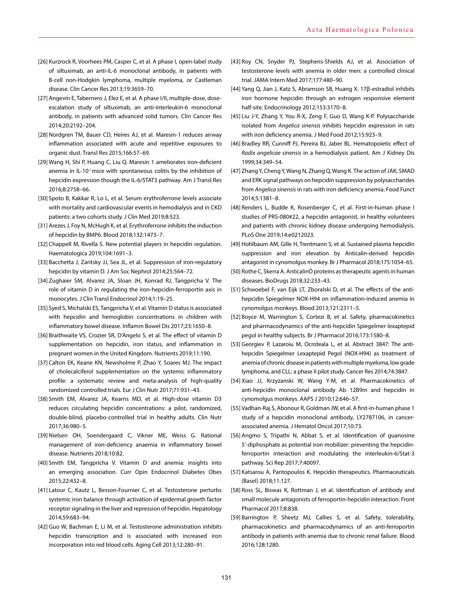- [26] Kurzrock R, Voorhees PM, Casper C, et al. A phase I, open-label study of siltuximab, an anti-IL-6 monoclonal antibody, in patients with B-cell non-Hodgkin lymphoma, multiple myeloma, or Castleman disease. Clin Cancer Res 2013;19:3659–70.
- [27] Angevin E, Tabernero J, Elez E, et al. A phase I/II, multiple-dose, doseescalation study of siltuximab, an anti-interleukin-6 monoclonal antibody, in patients with advanced solid tumors. Clin Cancer Res 2014;20:2192–204.
- [28] Nordgren TM, Bauer CD, Heires AJ, et al. Maresin-1 reduces airway inflammation associated with acute and repetitive exposures to organic dust. Transl Res 2015;166:57–69.
- [29] Wang H, Shi P, Huang C, Liu Q. Maresin 1 ameliorates iron-deficient anemia in IL-10<sup>-/-</sup>mice with spontaneous colitis by the inhibition of hepcidin expression though the IL-6/STAT3 pathway. Am J Transl Res 2016;8:2758–66.
- [30] Spoto B, Kakkar R, Lo L, et al. Serum erythroferrone levels associate with mortality and cardiovascular events in hemodialysis and in CKD patients: a two cohorts study. J Clin Med 2019;8:523.
- [31] Arezes J, Foy N, McHugh K, et al. Erythroferrone inhibits the induction of hepcidin by BMP6. Blood 2018;132:1473–7.
- [32] Chappell M, Rivella S. New potential players in hepcidin regulation. Haematologica 2019;104:1691–3.
- [33] Bacchetta J, Zaritsky JJ, Sea JL, et al. Suppression of iron-regulatory hepcidin by vitamin D. J Am Soc Nephrol 2014;25:564–72.
- [34] Zughaier SM, Alvarez JA, Sloan JH, Konrad RJ, Tangpricha V. The role of vitamin D in regulating the iron-hepcidin-ferroportin axis in monocytes. J Clin Transl Endocrinol 2014;1:19–25.
- [35] Syed S, Michalski ES, Tangpricha V, et al. Vitamin D status is associated with hepcidin and hemoglobin concentrations in children with inflammatory bowel disease. Inflamm Bowel Dis 2017;23:1650–8.
- [36] Braithwaite VS, Crozier SR, D'Angelo S, et al. The effect of vitamin D supplementation on hepcidin, iron status, and inflammation in pregnant women in the United Kingdom. Nutrients 2019;11:190.
- [37] Calton EK, Keane KN, Newsholme P, Zhao Y, Soares MJ. The impact of cholecalciferol supplementation on the systemic inflammatory profile: a systematic review and meta-analysis of high-quality randomized controlled trials. Eur J Clin Nutr 2017;71:931–43.
- [38] Smith EM, Alvarez JA, Kearns MD, et al. High-dose vitamin D3 reduces circulating hepcidin concentrations: a pilot, randomized, double-blind, placebo-controlled trial in healthy adults. Clin Nutr 2017;36:980–5.
- [39] Nielsen OH, Soendergaard C, Vikner ME, Weiss G. Rational management of iron-deficiency anaemia in inflammatory bowel disease. Nutrients 2018;10:82.
- [40] Smith EM, Tangpricha V. Vitamin D and anemia: insights into an emerging association. Curr Opin Endocrinol Diabetes Obes 2015;22:432–8.
- [41] Latour C, Kautz L, Besson-Fournier C, et al. Testosterone perturbs systemic iron balance through activation of epidermal growth factor receptor signaling in the liver and repression of hepcidin. Hepatology 2014;59:683–94.
- [42] Guo W, Bachman E, Li M, et al. Testosterone administration inhibits hepcidin transcription and is associated with increased iron incorporation into red blood cells. Aging Cell 2013;12:280–91.
- [43] Roy CN, Snyder PJ, Stephens-Shields AJ, et al. Association of testosterone levels with anemia in older men: a controlled clinical trial. JAMA Intern Med 2017;177:480–90.
- [44] Yang Q, Jian J, Katz S, Abramson SB, Huang X. 17β-estradiol inhibits iron hormone hepcidin through an estrogen responsive element half-site. Endocrinology 2012;153:3170–8.
- [45] Liu J-Y, Zhang Y, You R-X, Zeng F, Guo D, Wang K-P. Polysaccharide isolated from *Angelica sinensis* inhibits hepcidin expression in rats with iron deficiency anemia. J Med Food 2012;15:923–9.
- [46] Bradley RR, Cunniff PJ, Pereira BJ, Jaber BL. Hematopoietic effect of *Radix angelicae sinensis* in a hemodialysis patient. Am J Kidney Dis 1999;34:349–54.
- [47] Zhang Y, Cheng Y, Wang N, Zhang Q, Wang K. The action of JAK, SMAD and ERK signal pathways on hepcidin suppression by polysaccharides from *Angelica sinensis* in rats with iron deficiency anemia. Food Funct 2014;5:1381–8.
- [48] Renders L, Budde K, Rosenberger C, et al. First-in-human phase I studies of PRS-080#22, a hepcidin antagonist, in healthy volunteers and patients with chronic kidney disease undergoing hemodialysis. PLoS One 2019;14:e0212023.
- [49] Hohlbaum AM, Gille H, Trentmann S, et al. Sustained plasma hepcidin suppression and iron elevation by Anticalin-derived hepcidin antagonist in cynomolgus monkey. Br J Pharmacol 2018;175:1054–65.
- [50] Rothe C, Skerra A. AnticalinÒ proteins as therapeutic agents in human diseases. BioDrugs 2018;32:233–43.
- [51] Schwoebel F, van Eijk LT, Zboralski D, et al. The effects of the antihepcidin Spiegelmer NOX-H94 on inflammation-induced anemia in cynomolgus monkeys. Blood 2013;121:2311–5.
- [52] Boyce M, Warrington S, Cortezi B, et al. Safety, pharmacokinetics and pharmacodynamics of the anti-hepcidin Spiegelmer lexaptepid pegol in healthy subjects. Br J Pharmacol 2016;173:1580–8.
- [53] Georgiev P, Lazaroiu M, Ocroteala L, et al. Abstract 3847: The antihepcidin Spiegelmer Lexaptepid Pegol (NOX-H94) as treatment of anemia of chronic disease in patients with multiple myeloma, low grade lymphoma, and CLL: a phase II pilot study. Cancer Res 2014;74:3847.
- [54] Xiao JJ, Krzyzanski W, Wang Y-M, et al. Pharmacokinetics of anti-hepcidin monoclonal antibody Ab 12B9m and hepcidin in cynomolgus monkeys. AAPS J 2010;12:646–57.
- [55] Vadhan-Raj S, Abonour R, Goldman JW, et al. A first-in-human phase 1 study of a hepcidin monoclonal antibody, LY2787106, in cancerassociated anemia. J Hematol Oncol 2017;10:73.
- [56] Angmo S, Tripathi N, Abbat S, et al. Identification of guanosine 5'-diphosphate as potential iron mobilizer: preventing the hepcidinferroportin interaction and modulating the interleukin-6/Stat-3 pathway. Sci Rep 2017;7:40097.
- [57] Katsarou A, Pantopoulos K. Hepcidin therapeutics. Pharmaceuticals (Basel) 2018;11:127.
- [58] Ross SL, Biswas K, Rottman J, et al. Identification of antibody and small molecule antagonists of ferroportin-hepcidin interaction. Front Pharmacol 2017;8:838.
- [59] Barrington P, Sheetz MJ, Callies S, et al. Safety, tolerability, pharmacokinetics and pharmacodynamics of an anti-ferroportin antibody in patients with anemia due to chronic renal failure. Blood 2016;128:1280.